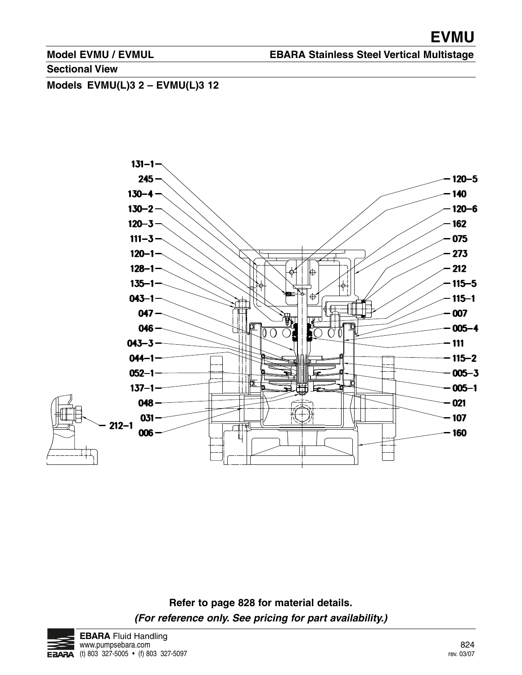**EBARA Stainless Steel Vertical Multistage**

**Sectional View**

**Models EVMU(L)3 2 – EVMU(L)3 12**



**Refer to page 828 for material details. (For reference only. See pricing for part availability.)**

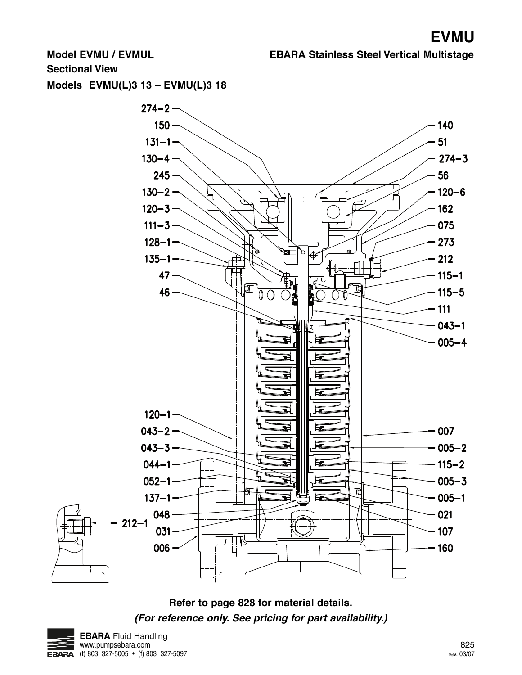#### **EBARA Stainless Steel Vertical Multistage**

**Sectional View**







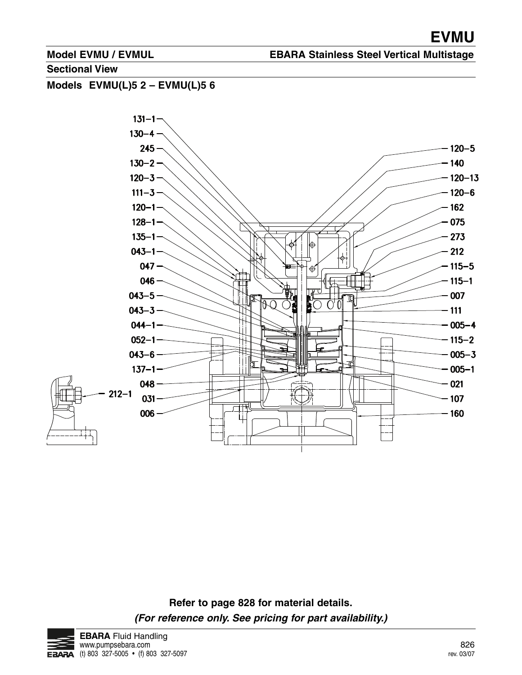## **EBARA Stainless Steel Vertical Multistage**

**Sectional View**

**Models EVMU(L)5 2 – EVMU(L)5 6**



**Refer to page 828 for material details. (For reference only. See pricing for part availability.)**

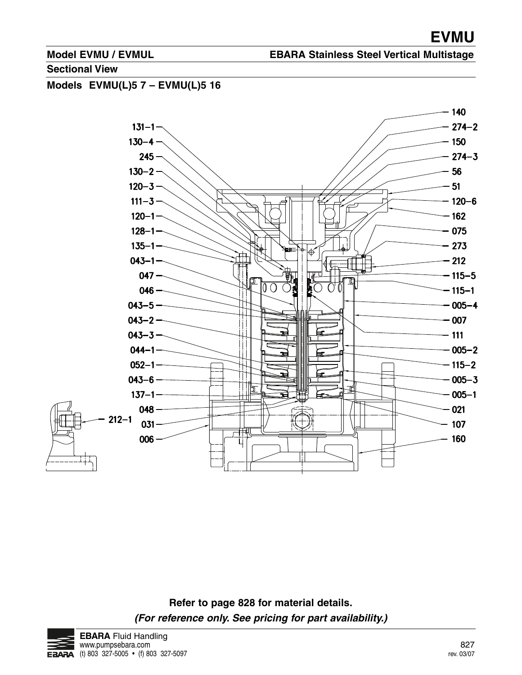#### **EBARA Stainless Steel Vertical Multistage**

#### **Sectional View**

**Models EVMU(L)5 7 – EVMU(L)5 16**



**Refer to page 828 for material details. (For reference only. See pricing for part availability.)**

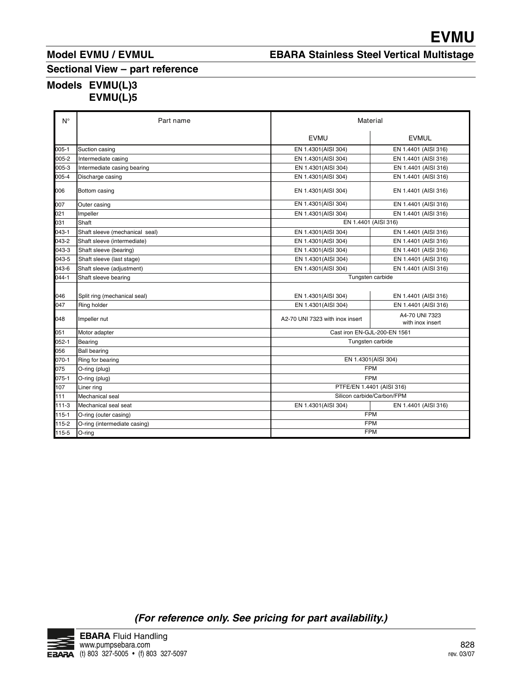# **EBARA Stainless Steel Vertical Multistage**

## **Models EVMU(L)3 EVMU(L)5**

|                    | <b>lodel EVMU / EVMUL</b>                                      | <b>EBARA Stainless Steel Vertical Multistage</b> |                                              |  |
|--------------------|----------------------------------------------------------------|--------------------------------------------------|----------------------------------------------|--|
|                    | ectional View – part reference<br>/lodels EVMU(L)3<br>EVMU(L)5 |                                                  |                                              |  |
| $\mathsf{N}^\circ$ | Part name                                                      |                                                  | Material                                     |  |
|                    |                                                                | <b>EVMU</b>                                      | <b>EVMUL</b>                                 |  |
| $005-1$            | Suction casing                                                 | EN 1.4301(AISI 304)                              | EN 1.4401 (AISI 316)                         |  |
| 005-2              | Intermediate casing                                            | EN 1.4301(AISI 304)                              | EN 1.4401 (AISI 316)                         |  |
| 005-3              | Intermediate casing bearing                                    | EN 1.4301(AISI 304)                              | EN 1.4401 (AISI 316)                         |  |
| 005-4              | Discharge casing                                               | EN 1.4301(AISI 304)                              | EN 1.4401 (AISI 316)                         |  |
| 006                | Bottom casing                                                  | EN 1.4301(AISI 304)                              | EN 1.4401 (AISI 316)                         |  |
| 007                | Outer casing                                                   | EN 1.4301(AISI 304)                              | EN 1.4401 (AISI 316)                         |  |
| 021                | Impeller                                                       | EN 1.4301(AISI 304)                              | EN 1.4401 (AISI 316)                         |  |
| 031                | Shaft                                                          | EN 1.4401 (AISI 316)                             |                                              |  |
| 043-1              | Shaft sleeve (mechanical seal)                                 | EN 1.4301(AISI 304)                              | EN 1.4401 (AISI 316)                         |  |
| 043-2              | Shaft sleeve (intermediate)                                    | EN 1.4301(AISI 304)                              | EN 1.4401 (AISI 316)<br>EN 1.4401 (AISI 316) |  |
| 043-3<br>043-5     | Shaft sleeve (bearing)<br>Shaft sleeve (last stage)            | EN 1.4301 (AISI 304)<br>EN 1.4301(AISI 304)      | EN 1.4401 (AISI 316)                         |  |
| 043-6              | Shaft sleeve (adjustment)                                      | EN 1.4301(AISI 304)                              | EN 1.4401 (AISI 316)                         |  |
| 044-1              | Shaft sleeve bearing                                           | Tungsten carbide                                 |                                              |  |
|                    |                                                                |                                                  |                                              |  |
| 046<br>047         | Split ring (mechanical seal)<br>Ring holder                    | EN 1.4301(AISI 304)<br>EN 1.4301(AISI 304)       | EN 1.4401 (AISI 316)<br>EN 1.4401 (AISI 316) |  |
|                    |                                                                |                                                  | A4-70 UNI 7323                               |  |
| 048                | Impeller nut                                                   | A2-70 UNI 7323 with inox insert                  | with inox insert                             |  |
| 051                | Motor adapter                                                  | Cast iron EN-GJL-200-EN 1561                     |                                              |  |
| $052 - 1$          | Bearing                                                        | Tungsten carbide                                 |                                              |  |
| 056<br>070-1       | <b>Ball bearing</b>                                            | EN 1.4301(AISI 304)                              |                                              |  |
| 075                | Ring for bearing<br>O-ring (plug)                              | <b>FPM</b>                                       |                                              |  |
| 075-1              | O-ring (plug)                                                  | <b>FPM</b>                                       |                                              |  |
| 107                | Liner ring                                                     | PTFE/EN 1.4401 (AISI 316)                        |                                              |  |
| 111                | Mechanical seal                                                | Silicon carbide/Carbon/FPM                       |                                              |  |
| $111-3$            | Mechanical seal seat                                           | EN 1.4301(AISI 304)                              | EN 1.4401 (AISI 316)                         |  |
| $115 - 1$<br>115-2 | O-ring (outer casing)<br>O-ring (intermediate casing)          | <b>FPM</b><br><b>FPM</b>                         |                                              |  |
| 115-5              | O-ring                                                         | <b>FPM</b>                                       |                                              |  |

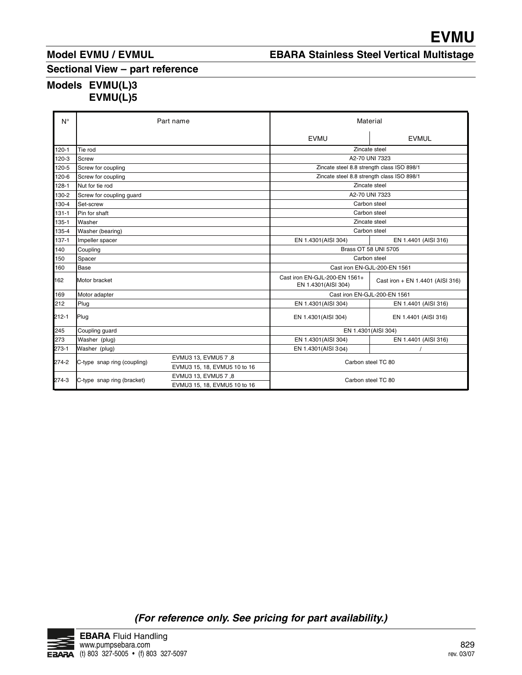# **EBARA Stainless Steel Vertical Multistage**

## **Models EVMU(L)3 EVMU(L)5**

| <b>/lodel EVMU / EVMUL</b><br>Sectional View - part reference<br>/lodels EVMU(L)3<br>EVMU(L)5<br>Part name |                                                                                                                                                                                                                                                                                                    |                                                                                                            | <b>EVMU</b><br><b>EBARA Stainless Steel Vertical Multistag</b>                                                                                                                                                                                                                          |
|------------------------------------------------------------------------------------------------------------|----------------------------------------------------------------------------------------------------------------------------------------------------------------------------------------------------------------------------------------------------------------------------------------------------|------------------------------------------------------------------------------------------------------------|-----------------------------------------------------------------------------------------------------------------------------------------------------------------------------------------------------------------------------------------------------------------------------------------|
|                                                                                                            |                                                                                                                                                                                                                                                                                                    |                                                                                                            |                                                                                                                                                                                                                                                                                         |
|                                                                                                            |                                                                                                                                                                                                                                                                                                    |                                                                                                            |                                                                                                                                                                                                                                                                                         |
|                                                                                                            |                                                                                                                                                                                                                                                                                                    |                                                                                                            |                                                                                                                                                                                                                                                                                         |
|                                                                                                            |                                                                                                                                                                                                                                                                                                    |                                                                                                            |                                                                                                                                                                                                                                                                                         |
|                                                                                                            |                                                                                                                                                                                                                                                                                                    |                                                                                                            |                                                                                                                                                                                                                                                                                         |
|                                                                                                            |                                                                                                                                                                                                                                                                                                    |                                                                                                            |                                                                                                                                                                                                                                                                                         |
|                                                                                                            |                                                                                                                                                                                                                                                                                                    |                                                                                                            |                                                                                                                                                                                                                                                                                         |
|                                                                                                            |                                                                                                                                                                                                                                                                                                    |                                                                                                            |                                                                                                                                                                                                                                                                                         |
|                                                                                                            |                                                                                                                                                                                                                                                                                                    |                                                                                                            |                                                                                                                                                                                                                                                                                         |
|                                                                                                            |                                                                                                                                                                                                                                                                                                    |                                                                                                            |                                                                                                                                                                                                                                                                                         |
|                                                                                                            |                                                                                                                                                                                                                                                                                                    |                                                                                                            |                                                                                                                                                                                                                                                                                         |
|                                                                                                            |                                                                                                                                                                                                                                                                                                    |                                                                                                            |                                                                                                                                                                                                                                                                                         |
|                                                                                                            |                                                                                                                                                                                                                                                                                                    |                                                                                                            |                                                                                                                                                                                                                                                                                         |
|                                                                                                            |                                                                                                                                                                                                                                                                                                    |                                                                                                            |                                                                                                                                                                                                                                                                                         |
|                                                                                                            |                                                                                                                                                                                                                                                                                                    |                                                                                                            |                                                                                                                                                                                                                                                                                         |
|                                                                                                            |                                                                                                                                                                                                                                                                                                    |                                                                                                            |                                                                                                                                                                                                                                                                                         |
|                                                                                                            |                                                                                                                                                                                                                                                                                                    | Material                                                                                                   |                                                                                                                                                                                                                                                                                         |
|                                                                                                            |                                                                                                                                                                                                                                                                                                    | <b>EVMU</b>                                                                                                | <b>EVMUL</b>                                                                                                                                                                                                                                                                            |
|                                                                                                            |                                                                                                                                                                                                                                                                                                    |                                                                                                            | Zincate steel                                                                                                                                                                                                                                                                           |
|                                                                                                            |                                                                                                                                                                                                                                                                                                    |                                                                                                            |                                                                                                                                                                                                                                                                                         |
|                                                                                                            |                                                                                                                                                                                                                                                                                                    | Zincate steel 8.8 strength class ISO 898/1                                                                 |                                                                                                                                                                                                                                                                                         |
|                                                                                                            |                                                                                                                                                                                                                                                                                                    | Zincate steel<br>A2-70 UNI 7323                                                                            |                                                                                                                                                                                                                                                                                         |
|                                                                                                            |                                                                                                                                                                                                                                                                                                    | Carbon steel                                                                                               |                                                                                                                                                                                                                                                                                         |
|                                                                                                            |                                                                                                                                                                                                                                                                                                    | Carbon steel                                                                                               |                                                                                                                                                                                                                                                                                         |
|                                                                                                            |                                                                                                                                                                                                                                                                                                    | Zincate steel<br>Carbon steel                                                                              |                                                                                                                                                                                                                                                                                         |
|                                                                                                            |                                                                                                                                                                                                                                                                                                    |                                                                                                            | EN 1.4401 (AISI 316)                                                                                                                                                                                                                                                                    |
|                                                                                                            |                                                                                                                                                                                                                                                                                                    |                                                                                                            | Brass OT 58 UNI 5705                                                                                                                                                                                                                                                                    |
|                                                                                                            |                                                                                                                                                                                                                                                                                                    |                                                                                                            |                                                                                                                                                                                                                                                                                         |
|                                                                                                            |                                                                                                                                                                                                                                                                                                    | EN 1.4301(AISI 304)                                                                                        | Cast iron + EN 1.4401 (AISI 316)                                                                                                                                                                                                                                                        |
|                                                                                                            |                                                                                                                                                                                                                                                                                                    |                                                                                                            | Cast iron EN-GJL-200-EN 1561                                                                                                                                                                                                                                                            |
|                                                                                                            |                                                                                                                                                                                                                                                                                                    |                                                                                                            | EN 1.4401 (AISI 316)                                                                                                                                                                                                                                                                    |
|                                                                                                            |                                                                                                                                                                                                                                                                                                    |                                                                                                            | EN 1.4401 (AISI 316)                                                                                                                                                                                                                                                                    |
|                                                                                                            |                                                                                                                                                                                                                                                                                                    |                                                                                                            |                                                                                                                                                                                                                                                                                         |
|                                                                                                            |                                                                                                                                                                                                                                                                                                    |                                                                                                            | EN 1.4401 (AISI 316)<br>$\prime$                                                                                                                                                                                                                                                        |
|                                                                                                            |                                                                                                                                                                                                                                                                                                    |                                                                                                            | Carbon steel TC 80                                                                                                                                                                                                                                                                      |
|                                                                                                            |                                                                                                                                                                                                                                                                                                    |                                                                                                            | Carbon steel TC 80                                                                                                                                                                                                                                                                      |
|                                                                                                            | Screw for coupling<br>Screw for coupling<br>Nut for tie rod<br>Screw for coupling guard<br>Pin for shaft<br>Washer (bearing)<br>Impeller spacer<br>Motor bracket<br>Motor adapter<br>Coupling guard<br>Washer (plug)<br>Washer (plug)<br>C-type snap ring (coupling)<br>C-type snap ring (bracket) | EVMU3 13, EVMU5 7,8<br>EVMU3 15, 18, EVMU5 10 to 16<br>EVMU3 13, EVMU5 7,8<br>EVMU3 15, 18, EVMU5 10 to 16 | A2-70 UNI 7323<br>Zincate steel 8.8 strength class ISO 898/1<br>EN 1.4301(AISI 304)<br>Carbon steel<br>Cast iron EN-GJL-200-EN 1561<br>Cast iron EN-GJL-200-EN 1561+<br>EN 1.4301(AISI 304)<br>EN 1.4301(AISI 304)<br>EN 1.4301(AISI 304)<br>EN 1.4301(AISI 304)<br>EN 1.4301(AISI 304) |

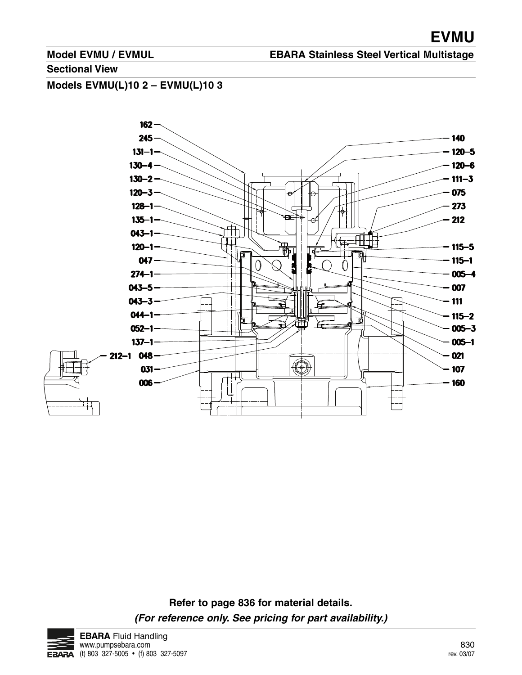### **EBARA Stainless Steel Vertical Multistage**

#### **Sectional View**

**Models EVMU(L)10 2 – EVMU(L)10 3**



**Refer to page 836 for material details. (For reference only. See pricing for part availability.)**

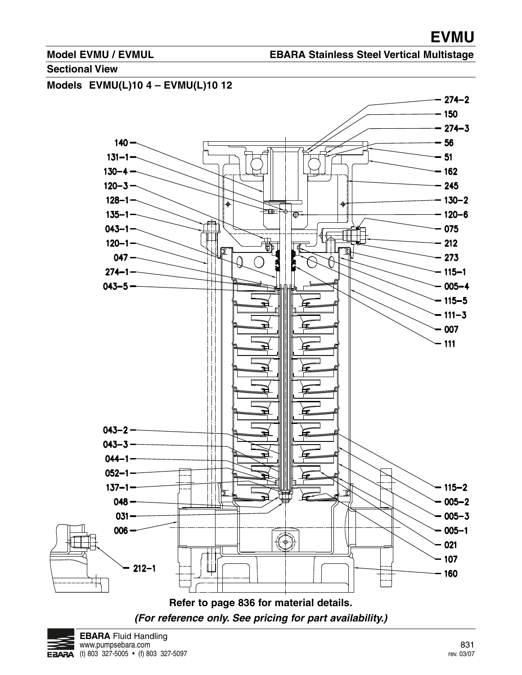#### **EBARA Stainless Steel Vertical Multistage**

#### **Sectional View**



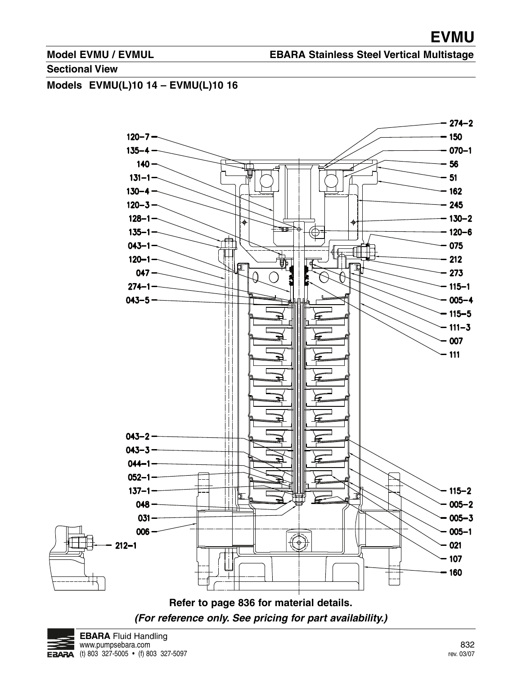**EBARA Stainless Steel Vertical Multistage**

#### **Sectional View**

# **Models EVMU(L)10 14 – EVMU(L)10 16**



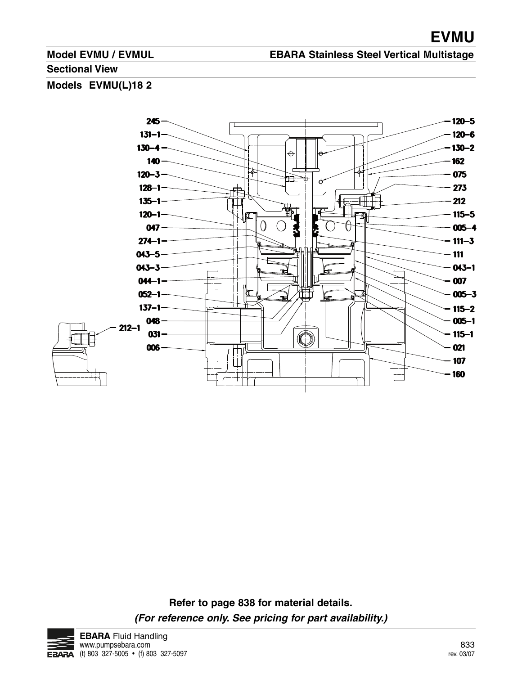### **EBARA Stainless Steel Vertical Multistage**

#### **Sectional View**

**Models EVMU(L)18 2**



**Refer to page 838 for material details. (For reference only. See pricing for part availability.)**

![](_page_9_Picture_7.jpeg)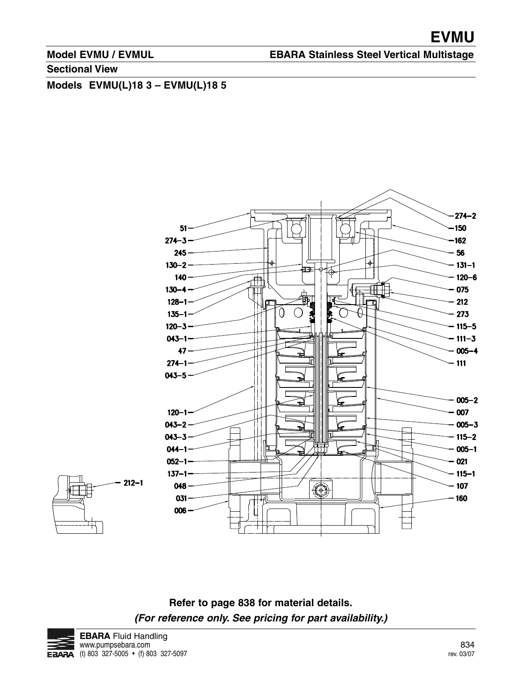**EBARA Stainless Steel Vertical Multistage**

**Sectional View**

**Models EVMU(L)18 3 – EVMU(L)18 5**

![](_page_10_Figure_5.jpeg)

![](_page_10_Figure_6.jpeg)

**Refer to page 838 for material details. (For reference only. See pricing for part availability.)**

![](_page_10_Picture_8.jpeg)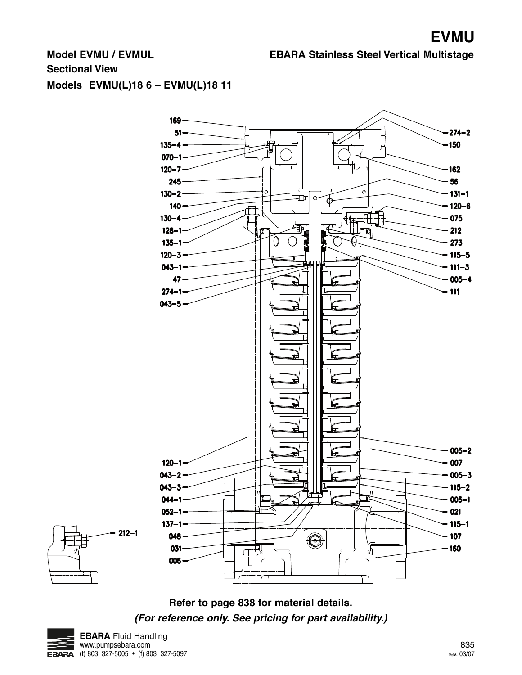#### **EBARA Stainless Steel Vertical Multistage**

#### **Sectional View**

# **Models EVMU(L)18 6 – EVMU(L)18 11**

![](_page_11_Figure_5.jpeg)

![](_page_11_Figure_6.jpeg)

![](_page_11_Picture_7.jpeg)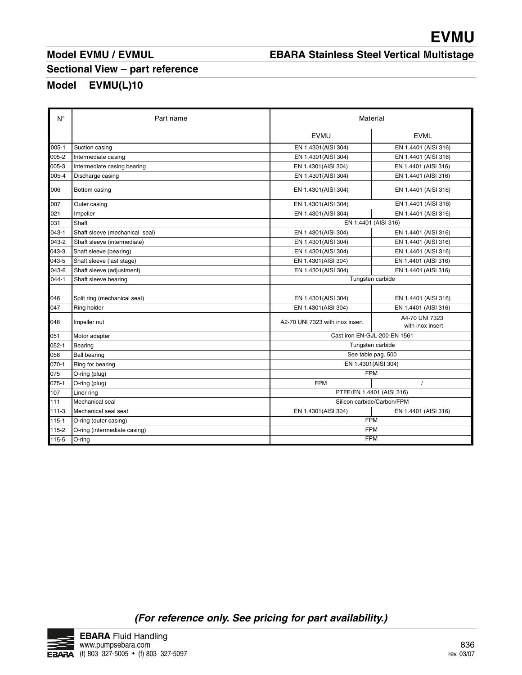# **EBARA Stainless Steel Vertical Multistage**

# **Sectional View – part reference**

# **Model EVMU(L)10**

|                    | <b>Model EVMU / EVMUL</b>                             | <b>EVMU</b><br><b>EBARA Stainless Steel Vertical Multistage</b> |                                              |  |
|--------------------|-------------------------------------------------------|-----------------------------------------------------------------|----------------------------------------------|--|
| Model              | Sectional View - part reference<br><b>EVMU(L)10</b>   |                                                                 |                                              |  |
| $\mathsf{N}^\circ$ | Part name                                             | Material                                                        |                                              |  |
|                    |                                                       | <b>EVMU</b>                                                     | <b>EVML</b>                                  |  |
| $005-1$            | Suction casing                                        | EN 1.4301(AISI 304)                                             | EN 1.4401 (AISI 316)                         |  |
| 005-2              | Intermediate casing                                   | EN 1.4301(AISI 304)                                             | EN 1.4401 (AISI 316)                         |  |
| 005-3              | Intermediate casing bearing                           | EN 1.4301(AISI 304)                                             | EN 1.4401 (AISI 316)                         |  |
| 005-4              | Discharge casing                                      | EN 1.4301(AISI 304)                                             | EN 1.4401 (AISI 316)                         |  |
| 006                | Bottom casing                                         | EN 1.4301(AISI 304)                                             | EN 1.4401 (AISI 316)                         |  |
| 007                | Outer casing                                          | EN 1.4301(AISI 304)                                             | EN 1.4401 (AISI 316)                         |  |
| 021                | Impeller                                              | EN 1.4301(AISI 304)                                             | EN 1.4401 (AISI 316)                         |  |
| 031                | Shaft                                                 | EN 1.4401 (AISI 316)                                            |                                              |  |
| 043-1              | Shaft sleeve (mechanical seal)                        | EN 1.4301(AISI 304)                                             | EN 1.4401 (AISI 316)                         |  |
| 043-2<br>043-3     | Shaft sleeve (intermediate)<br>Shaft sleeve (bearing) | EN 1.4301 (AISI 304)<br>EN 1.4301(AISI 304)                     | EN 1.4401 (AISI 316)<br>EN 1.4401 (AISI 316) |  |
| 043-5              | Shaft sleeve (last stage)                             | EN 1.4301(AISI 304)                                             | EN 1.4401 (AISI 316)                         |  |
| 043-6              | Shaft sleeve (adjustment)                             | EN 1.4301(AISI 304)                                             | EN 1.4401 (AISI 316)                         |  |
| 044-1              | Shaft sleeve bearing                                  | Tungsten carbide                                                |                                              |  |
| 046                | Split ring (mechanical seal)                          | EN 1.4301(AISI 304)                                             | EN 1.4401 (AISI 316)                         |  |
| 047                | Ring holder                                           | EN 1.4301(AISI 304)                                             | EN 1.4401 (AISI 316)                         |  |
| 048                | Impeller nut                                          | A2-70 UNI 7323 with inox insert                                 | A4-70 UNI 7323                               |  |
|                    |                                                       |                                                                 | with inox insert                             |  |
| 051                | Motor adapter                                         | Cast iron EN-GJL-200-EN 1561<br>Tungsten carbide                |                                              |  |
| $052 - 1$<br>056   | Bearing<br><b>Ball bearing</b>                        | See table pag. 500                                              |                                              |  |
| $070 - 1$          | Ring for bearing                                      | EN 1.4301(AISI 304)                                             |                                              |  |
| 075                | O-ring (plug)                                         | <b>FPM</b>                                                      |                                              |  |
| $075 - 1$          | O-ring (plug)                                         | <b>FPM</b>                                                      | $\prime$                                     |  |
| 107                | Liner ring                                            | PTFE/EN 1.4401 (AISI 316)                                       |                                              |  |
| 111<br>111-3       | Mechanical seal<br>Mechanical seal seat               | Silicon carbide/Carbon/FPM<br>EN 1.4301(AISI 304)               | EN 1.4401 (AISI 316)                         |  |
| $115 - 1$          | O-ring (outer casing)                                 | <b>FPM</b>                                                      |                                              |  |
| 115-2              | O-ring (intermediate casing)                          | <b>FPM</b>                                                      |                                              |  |
| 115-5              | O-ring                                                | <b>FPM</b>                                                      |                                              |  |

![](_page_12_Picture_7.jpeg)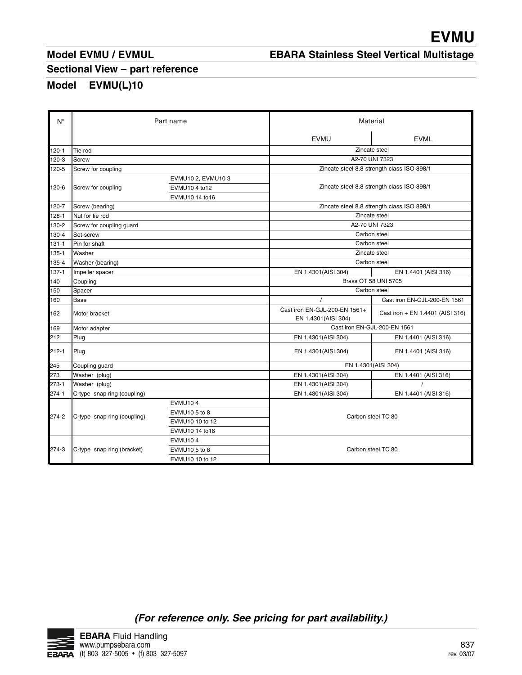# **EBARA Stainless Steel Vertical Multistage**

## **Sectional View – part reference**

# **Model EVMU(L)10**

|                             |                                 |                                  |                                                  | <b>EVMU</b>                                |
|-----------------------------|---------------------------------|----------------------------------|--------------------------------------------------|--------------------------------------------|
|                             | <b>Model EVMU / EVMUL</b>       |                                  | <b>EBARA Stainless Steel Vertical Multistage</b> |                                            |
|                             | Sectional View - part reference |                                  |                                                  |                                            |
|                             |                                 |                                  |                                                  |                                            |
| <b>Model</b>                | <b>EVMU(L)10</b>                |                                  |                                                  |                                            |
|                             |                                 |                                  |                                                  |                                            |
| $N^{\circ}$                 | Part name                       |                                  | Material                                         |                                            |
|                             |                                 |                                  | <b>EVMU</b>                                      | <b>EVML</b>                                |
| 120-1                       | Tie rod                         |                                  |                                                  | Zincate steel                              |
| 120-3                       | <b>Screw</b>                    |                                  |                                                  | A2-70 UNI 7323                             |
| 120-5                       | Screw for coupling              | EVMU10 2, EVMU10 3               |                                                  | Zincate steel 8.8 strength class ISO 898/1 |
| 120-6                       | Screw for coupling              | EVMU10 4 to12                    | Zincate steel 8.8 strength class ISO 898/1       |                                            |
| 120-7                       | Screw (bearing)                 | EVMU10 14 to16                   | Zincate steel 8.8 strength class ISO 898/1       |                                            |
| 128-1                       | Nut for tie rod                 |                                  | Zincate steel                                    |                                            |
| 130-2                       | Screw for coupling guard        |                                  | A2-70 UNI 7323<br>Carbon steel                   |                                            |
| 130-4<br>131-1              | Set-screw<br>Pin for shaft      |                                  |                                                  |                                            |
| 135-1                       | Washer                          |                                  | Carbon steel<br>Zincate steel                    |                                            |
| 135-4                       | Washer (bearing)                |                                  |                                                  | Carbon steel                               |
| $137 - 1$                   | Impeller spacer                 |                                  | EN 1.4301(AISI 304)                              | EN 1.4401 (AISI 316)                       |
| 140                         | Coupling                        |                                  |                                                  | Brass OT 58 UNI 5705                       |
| 150                         | Spacer                          |                                  |                                                  | Carbon steel                               |
| 160                         | Base                            |                                  | $\prime$<br>Cast iron EN-GJL-200-EN 1561+        | Cast iron EN-GJL-200-EN 1561               |
| 162                         | Motor bracket                   |                                  | EN 1.4301(AISI 304)                              | Cast iron + EN 1.4401 (AISI 316)           |
| 169                         | Motor adapter                   |                                  |                                                  | Cast iron EN-GJL-200-EN 1561               |
| 212                         | Plug                            |                                  | EN 1.4301(AISI 304)                              | EN 1.4401 (AISI 316)                       |
| 212-1                       | Plug                            |                                  | EN 1.4301(AISI 304)                              | EN 1.4401 (AISI 316)                       |
| 245                         | Coupling guard                  |                                  | EN 1.4301(AISI 304)                              |                                            |
| 273                         | Washer (plug)                   |                                  | EN 1.4301(AISI 304)                              | EN 1.4401 (AISI 316)                       |
|                             | Washer (plug)                   |                                  | EN 1.4301(AISI 304)                              |                                            |
|                             | C-type snap ring (coupling)     |                                  | EN 1.4301(AISI 304)                              | EN 1.4401 (AISI 316)                       |
|                             |                                 | <b>EVMU104</b>                   |                                                  |                                            |
|                             | C-type snap ring (coupling)     | EVMU10 5 to 8<br>EVMU10 10 to 12 |                                                  | Carbon steel TC 80                         |
|                             |                                 | EVMU10 14 to16                   |                                                  |                                            |
|                             |                                 | <b>EVMU104</b>                   |                                                  |                                            |
| 273-1<br>$274 - 1$<br>274-2 |                                 |                                  |                                                  |                                            |
| 274-3                       | C-type snap ring (bracket)      | EVMU10 5 to 8                    | Carbon steel TC 80                               |                                            |

![](_page_13_Picture_7.jpeg)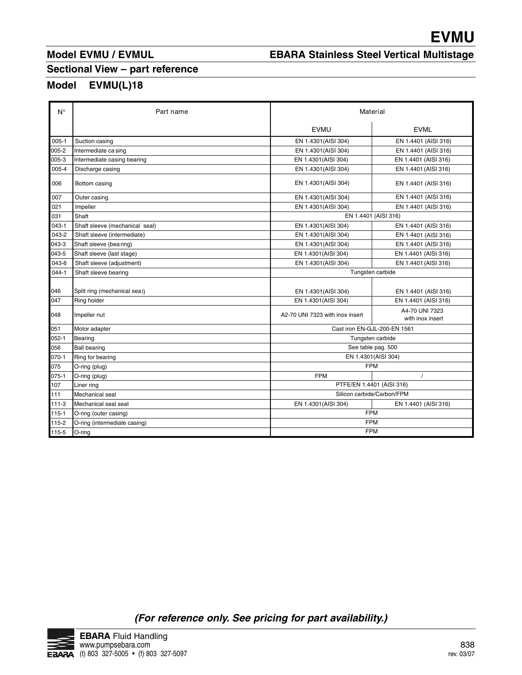# **EBARA Stainless Steel Vertical Multistage**

# **Sectional View – part reference**

|                  | Model EVMU / EVMUL                                    | <b>EBARA Stainless Steel Vertical Multistage</b>  | <b>EVMU</b>                                  |
|------------------|-------------------------------------------------------|---------------------------------------------------|----------------------------------------------|
| Model            | Sectional View - part reference<br>EVMU(L)18          |                                                   |                                              |
| $N^{\circ}$      | Part name                                             | Material                                          |                                              |
|                  |                                                       | <b>EVMU</b>                                       | <b>EVML</b>                                  |
| $005 - 1$        | Suction casing                                        | EN 1.4301(AISI 304)                               | EN 1.4401 (AISI 316)                         |
| 005-2            | Intermediate ca sing                                  | EN 1.4301(AISI 304)                               | EN 1.4401 (AISI 316)                         |
| 005-3            | Intermediate casing bearing                           | EN 1.4301(AISI 304)                               | EN 1.4401 (AISI 316)                         |
| 005-4            | Discharge casing                                      | EN 1.4301(AISI 304)                               | EN 1.4401 (AISI 316)                         |
| 006              | Bottom casing                                         | EN 1.4301 (AISI 304)                              | EN 1.4401 (AISI 316)                         |
| 007              | Outer casing                                          | EN 1.4301(AISI 304)                               | EN 1.4401 (AISI 316)                         |
| 021              | Impeller                                              | EN 1.4301(AISI 304)                               | EN 1.4401 (AISI 316)                         |
| 031              | Shaft                                                 | EN 1.4401 (AISI 316)                              |                                              |
| $043 - 1$        | Shaft sleeve (mechanical seal)                        | EN 1.4301(AISI 304)                               | EN 1.4401 (AISI 316)                         |
| 043-2<br>043-3   | Shaft sleeve (intermediate)<br>Shaft sleeve (bearing) | EN 1.4301(AISI 304)<br>EN 1.4301(AISI 304)        | EN 1.4401 (AISI 316)<br>EN 1.4401 (AISI 316) |
| 043-5            | Shaft sleeve (last stage)                             | EN 1.4301(AISI 304)                               | EN 1.4401 (AISI 316)                         |
| 043-6            | Shaft sleeve (adjustment)                             | EN 1.4301 (AISI 304)                              | EN 1.4401 (AISI 316)                         |
| $044 - 1$        | Shaft sleeve bearing                                  | Tungsten carbide                                  |                                              |
|                  |                                                       |                                                   |                                              |
| 046<br>047       | Split ring (mechanical seal)<br>Ring holder           | EN 1.4301(AISI 304)<br>EN 1.4301(AISI 304)        | EN 1.4401 (AISI 316)<br>EN 1.4401 (AISI 316) |
|                  |                                                       |                                                   | A4-70 UNI 7323                               |
| 048              | Impeller nut                                          | A2-70 UNI 7323 with inox insert                   | with inox insert                             |
| 051              | Motor adapter                                         | Cast iron EN-GJL-200-EN 1561                      |                                              |
| $052 - 1$<br>056 | Bearing<br><b>Ball bearing</b>                        | Tungsten carbide                                  |                                              |
| $070-1$          | Ring for bearing                                      | See table pag. 500<br>EN 1.4301(AISI 304)         |                                              |
| 075              | O-ring (plug)                                         | <b>FPM</b>                                        |                                              |
| $075-1$          | O-ring (plug)                                         | <b>FPM</b>                                        | $\prime$                                     |
| 107              | Liner ring                                            | PTFE/EN 1.4401 (AISI 316)                         |                                              |
| 111<br>$111-3$   | Mechanical seal<br>Mechanical seal seat               | Silicon carbide/Carbon/FPM<br>EN 1.4301(AISI 304) | EN 1.4401 (AISI 316)                         |
| 115-1            | O-ring (outer casing)                                 | <b>FPM</b>                                        |                                              |
| 115-2            | O-ring (intermediate casing)                          | FPM                                               |                                              |
| 115-5            | O-ring                                                | FPM                                               |                                              |

![](_page_14_Picture_7.jpeg)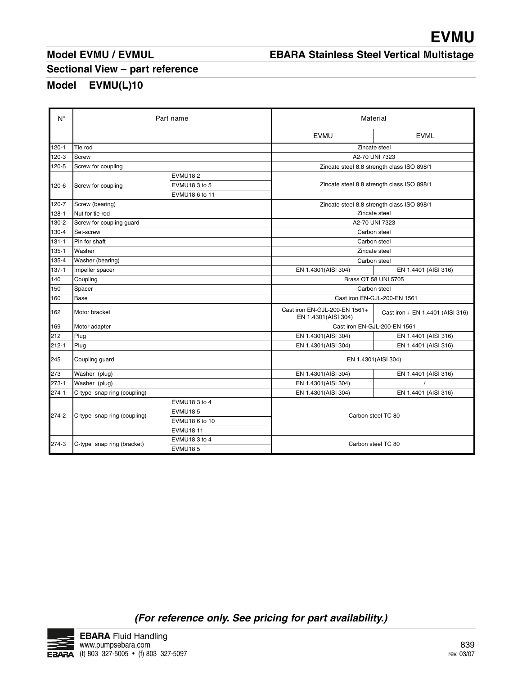# **EBARA Stainless Steel Vertical Multistage**

## **Sectional View – part reference**

|                                    | Model EVMU / EVMUL                              |                                                   | <b>EBARA Stainless Steel Vertical Multistage</b>     | <b>EVMU</b>                                  |
|------------------------------------|-------------------------------------------------|---------------------------------------------------|------------------------------------------------------|----------------------------------------------|
|                                    | Sectional View - part reference<br><b>Model</b> |                                                   |                                                      |                                              |
|                                    | EVMU(L)10                                       |                                                   |                                                      |                                              |
| $N^{\circ}$                        |                                                 | Part name                                         |                                                      | Material                                     |
|                                    |                                                 |                                                   | <b>EVMU</b>                                          | <b>EVML</b>                                  |
| $120 - 1$                          | Tie rod                                         |                                                   |                                                      | Zincate steel<br>A2-70 UNI 7323              |
| 120-3<br>120-5                     | Screw<br>Screw for coupling                     |                                                   |                                                      | Zincate steel 8.8 strength class ISO 898/1   |
| 120-6                              | Screw for coupling                              | <b>EVMU182</b><br>EVMU18 3 to 5<br>EVMU18 6 to 11 |                                                      | Zincate steel 8.8 strength class ISO 898/1   |
| 120-7                              | Screw (bearing)                                 |                                                   | Zincate steel 8.8 strength class ISO 898/1           |                                              |
| 128-1<br>130-2                     | Nut for tie rod<br>Screw for coupling guard     |                                                   | Zincate steel<br>A2-70 UNI 7323                      |                                              |
| 130-4                              | Set-screw                                       |                                                   | Carbon steel                                         |                                              |
| $131 - 1$                          | Pin for shaft                                   | Carbon steel                                      |                                                      |                                              |
| $135 - 1$<br>135-4                 | Washer<br>Washer (bearing)                      |                                                   |                                                      | Zincate steel<br>Carbon steel                |
| 137-1                              | Impeller spacer                                 |                                                   | EN 1.4301(AISI 304)                                  | EN 1.4401 (AISI 316)                         |
| 140                                | Coupling                                        |                                                   |                                                      | Brass OT 58 UNI 5705                         |
| 150<br>160                         | Spacer<br>Base                                  |                                                   |                                                      | Carbon steel<br>Cast iron EN-GJL-200-EN 1561 |
| 162                                | Motor bracket                                   |                                                   | Cast iron EN-GJL-200-EN 1561+<br>EN 1.4301(AISI 304) | Cast iron + EN 1.4401 (AISI 316)             |
| 169                                | Motor adapter                                   |                                                   |                                                      | Cast iron EN-GJL-200-EN 1561                 |
| 212<br>$212 - 1$                   | Plug<br>Plug                                    |                                                   | EN 1.4301(AISI 304)<br>EN 1.4301(AISI 304)           | EN 1.4401 (AISI 316)<br>EN 1.4401 (AISI 316) |
|                                    | Coupling guard                                  |                                                   |                                                      | EN 1.4301(AISI 304)                          |
| 245                                |                                                 |                                                   | EN 1.4301(AISI 304)<br>EN 1.4301(AISI 304)           | EN 1.4401 (AISI 316)                         |
|                                    | Washer (plug)                                   |                                                   | EN 1.4301(AISI 304)                                  | EN 1.4401 (AISI 316)                         |
|                                    | Washer (plug)<br>C-type snap ring (coupling)    |                                                   |                                                      |                                              |
|                                    |                                                 | EVMU18 3 to 4                                     |                                                      |                                              |
|                                    | C-type snap ring (coupling)                     | <b>EVMU185</b>                                    |                                                      | Carbon steel TC 80                           |
| 273<br>273-1<br>$274 - 1$<br>274-2 |                                                 | EVMU18 6 to 10<br><b>EVMU18 11</b>                |                                                      |                                              |

![](_page_15_Picture_8.jpeg)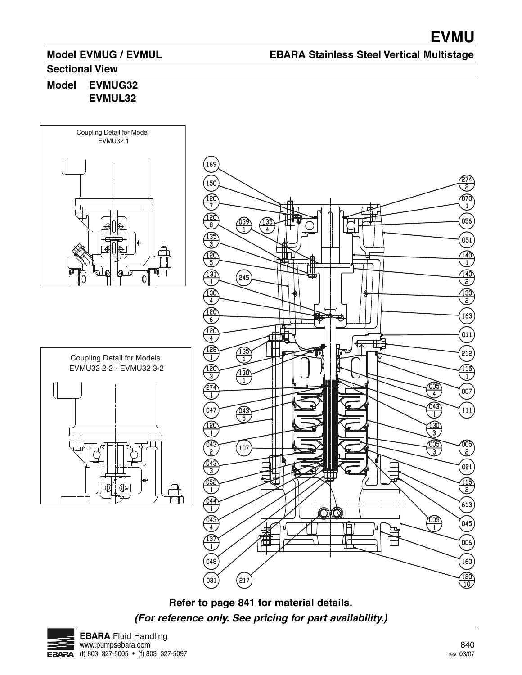### **EBARA Stainless Steel Vertical Multistage**

#### **Sectional View**

**Model EVMUG32 EVMUL32**

![](_page_16_Figure_5.jpeg)

![](_page_16_Figure_6.jpeg)

![](_page_16_Figure_7.jpeg)

![](_page_16_Figure_8.jpeg)

![](_page_16_Picture_9.jpeg)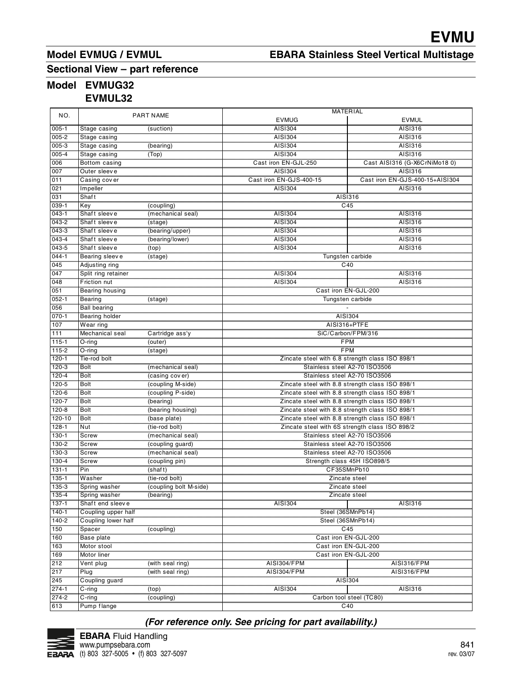# **EBARA Stainless Steel Vertical Multistage**

# **Sectional View – part reference**

# **Model EVMUG32**

**EVMUL32**

| NO.       |                     | <b>PART NAME</b>       | <b>MATERIAL</b>                                 |                                                 |  |
|-----------|---------------------|------------------------|-------------------------------------------------|-------------------------------------------------|--|
|           |                     |                        | <b>EVMUG</b>                                    | <b>EVMUL</b>                                    |  |
| $005 - 1$ | Stage casing        | (suction)              | AISI304                                         | AISI316                                         |  |
| $005 - 2$ | Stage casing        |                        | AISI304                                         | AISI316                                         |  |
| 005-3     | Stage casing        | (bearing)              | AISI304                                         | AISI316                                         |  |
| $005 - 4$ | Stage casing        | (Top)                  | AISI304                                         | AISI316                                         |  |
| 006       | Bottom casing       |                        | Cast iron EN-GJL-250                            | Cast AISI316 (G-X6CrNiMo18 0)                   |  |
| 007       | Outer sleeve        |                        | AISI304                                         | AISI316                                         |  |
| 011       | Casing cover        |                        | Cast iron EN-GJS-400-15                         | Cast iron EN-GJS-400-15+AISI304                 |  |
| 021       | Impeller            |                        | AISI304                                         | AISI316                                         |  |
| 031       | Shaft               |                        |                                                 | AISI316                                         |  |
| $039 - 1$ | Key                 |                        | C45                                             |                                                 |  |
|           |                     | (coupling)             |                                                 |                                                 |  |
| $043 - 1$ | Shaft sleeve        | (mechanical seal)      | AISI304                                         | AISI316                                         |  |
| 043-2     | Shaft sleeve        | (stage)                | AISI304                                         | AISI316                                         |  |
| $043 - 3$ | Shaft sleeve        | (bearing/upper)        | AISI304                                         | AISI316                                         |  |
| $043 - 4$ | Shaft sleeve        | (bearing/lower)        | AISI304                                         | AISI316                                         |  |
| $043 - 5$ | Shaft sleeve        | (top)                  | AISI304                                         | AISI316                                         |  |
| $044 - 1$ | Bearing sleeve      | (stage)                | Tungsten carbide                                |                                                 |  |
| 045       | Adjusting ring      |                        | C40                                             |                                                 |  |
| 047       | Split ring retainer |                        | AISI304                                         | AISI316                                         |  |
| 048       | Friction nut        |                        | AISI304                                         | AISI316                                         |  |
| 051       | Bearing housing     |                        | Cast iron EN-GJL-200                            |                                                 |  |
| $052 - 1$ | <b>Bearing</b>      | (stage)                | Tungsten carbide                                |                                                 |  |
| 056       | <b>Ball bearing</b> |                        |                                                 |                                                 |  |
| $070 - 1$ | Bearing holder      |                        | AISI304                                         |                                                 |  |
| 107       | Wear ring           |                        | AISI316+PTFE                                    |                                                 |  |
| 111       | Mechanical seal     | Cartridge ass'y        |                                                 | SiC/Carbon/FPM/316                              |  |
| $115 - 1$ | $O$ -ring           | (outer)                | <b>FPM</b>                                      |                                                 |  |
| 115-2     | $O$ -ring           | (stage)                | <b>FPM</b>                                      |                                                 |  |
| $120 - 1$ | Tie-rod bolt        |                        | Zincate steel with 6.8 strength class ISO 898/1 |                                                 |  |
| $120-3$   | <b>Bolt</b>         | (mechanical seal)      | Stainless steel A2-70 ISO3506                   |                                                 |  |
| 120-4     | <b>Bolt</b>         | (casing cover)         | Stainless steel A2-70 ISO3506                   |                                                 |  |
| 120-5     | <b>Bolt</b>         | (coupling M-side)      |                                                 |                                                 |  |
|           |                     |                        |                                                 | Zincate steel with 8.8 strength class ISO 898/1 |  |
| 120-6     | <b>Bolt</b>         | (coupling P-side)      |                                                 | Zincate steel with 8.8 strength class ISO 898/1 |  |
| 120-7     | <b>Bolt</b>         | (bearing)              |                                                 | Zincate steel with 8.8 strength class ISO 898/1 |  |
| $120 - 8$ | <b>Bolt</b>         | (bearing housing)      |                                                 | Zincate steel with 8.8 strength class ISO 898/1 |  |
| 120-10    | <b>Bolt</b>         | (base plate)           |                                                 | Zincate steel with 8.8 strength class ISO 898/1 |  |
| $128 - 1$ | Nut                 | (tie-rod bolt)         | Zincate steel with 6S strength class ISO 898/2  |                                                 |  |
| $130 - 1$ | Screw               | (mechanical seal)      | Stainless steel A2-70 ISO3506                   |                                                 |  |
| 130-2     | Screw               | (coupling guard)       | Stainless steel A2-70 ISO3506                   |                                                 |  |
| 130-3     | <b>Screw</b>        | (mechanical seal)      |                                                 | Stainless steel A2-70 ISO3506                   |  |
| 130-4     | Screw               | (coupling pin)         |                                                 | Strength class 45H ISO898/5                     |  |
| $131 - 1$ | Pin                 | (shat)                 |                                                 | CF35SMnPb10                                     |  |
| 135-1     | Washer              | (tie-rod bolt)         |                                                 | Zincate steel                                   |  |
| 135-3     | Spring washer       | (coupling bolt M-side) |                                                 | Zincate steel                                   |  |
| 135-4     | Spring washer       | (bearing)              |                                                 | Zincate steel                                   |  |
| $137 - 1$ | Shaft end sleeve    |                        | AISI304                                         | AISI316                                         |  |
| $140 - 1$ | Coupling upper half |                        |                                                 | Steel (36SMnPb14)                               |  |
| $140 - 2$ | Coupling lower half |                        |                                                 | Steel (36SMnPb14)                               |  |
| 150       | Spacer              | (coupling)             |                                                 | C45                                             |  |
| 160       | <b>Base plate</b>   |                        |                                                 | Cast iron EN-GJL-200                            |  |
| 163       | Motor stool         |                        |                                                 | Cast iron EN-GJL-200                            |  |
| 169       | Motor liner         |                        |                                                 | Cast iron EN-GJL-200                            |  |
| 212       | Vent plug           | (with seal ring)       | AISI304/FPM                                     | AISI316/FPM                                     |  |
| 217       | Plug                | (with seal ring)       | AISI304/FPM                                     | AISI316/FPM                                     |  |
| 245       | Coupling guard      |                        | AISI304                                         |                                                 |  |
| $274-1$   |                     |                        |                                                 |                                                 |  |
|           | $C$ -ring           | (top)                  | AISI304                                         | AISI316                                         |  |
| $274 - 2$ | $C$ -ring           | (coupling)             |                                                 | Carbon tool steel (TC80)                        |  |
| 613       | Pump flange         |                        | C40                                             |                                                 |  |

![](_page_17_Picture_8.jpeg)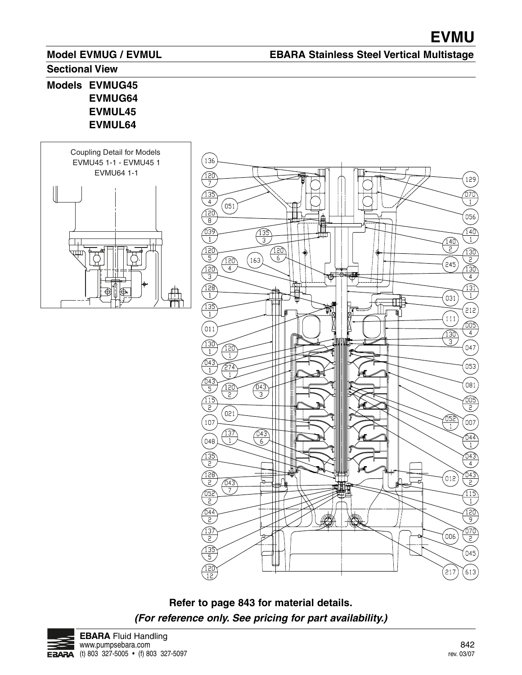### **EBARA Stainless Steel Vertical Multistage**

#### **Sectional View**

**Models EVMUG45 EVMUG64 EVMUL45 EVMUL64**

![](_page_18_Figure_5.jpeg)

![](_page_18_Figure_6.jpeg)

**Refer to page 843 for material details. (For reference only. See pricing for part availability.)**

![](_page_18_Picture_8.jpeg)